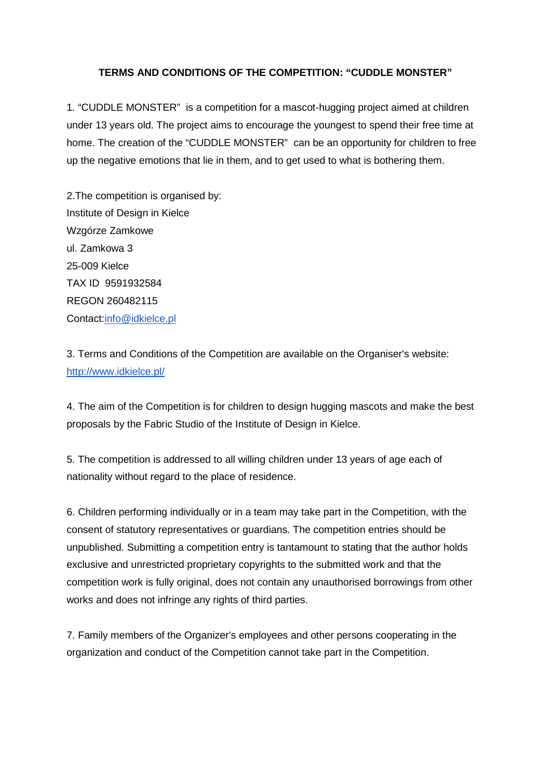## **TERMS AND CONDITIONS OF THE COMPETITION: "CUDDLE MONSTER"**

1. "CUDDLE MONSTER" is a competition for a mascot-hugging project aimed at children under 13 years old. The project aims to encourage the youngest to spend their free time at home. The creation of the "CUDDLE MONSTER" can be an opportunity for children to free up the negative emotions that lie in them, and to get used to what is bothering them.

2.The competition is organised by: Institute of Design in Kielce Wzgórze Zamkowe ul. Zamkowa 3 25-009 Kielce TAX ID 9591932584 REGON 260482115 Contact[:info@idkielce.pl](mailto:info@idkielce.pl)

3. Terms and Conditions of the Competition are available on the Organiser's website: <http://www.idkielce.pl/>

4. The aim of the Competition is for children to design hugging mascots and make the best proposals by the Fabric Studio of the Institute of Design in Kielce.

5. The competition is addressed to all willing children under 13 years of age each of nationality without regard to the place of residence.

6. Children performing individually or in a team may take part in the Competition, with the consent of statutory representatives or guardians. The competition entries should be unpublished. Submitting a competition entry is tantamount to stating that the author holds exclusive and unrestricted proprietary copyrights to the submitted work and that the competition work is fully original, does not contain any unauthorised borrowings from other works and does not infringe any rights of third parties.

7. Family members of the Organizer's employees and other persons cooperating in the organization and conduct of the Competition cannot take part in the Competition.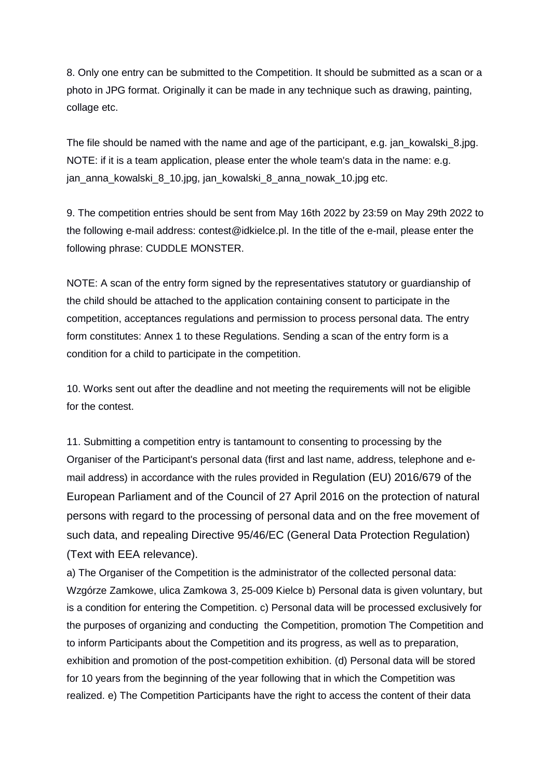8. Only one entry can be submitted to the Competition. It should be submitted as a scan or a photo in JPG format. Originally it can be made in any technique such as drawing, painting, collage etc.

The file should be named with the name and age of the participant, e.g. jan kowalski 8.jpg. NOTE: if it is a team application, please enter the whole team's data in the name: e.g. jan\_anna\_kowalski\_8\_10.jpg, jan\_kowalski\_8\_anna\_nowak\_10.jpg etc.

9. The competition entries should be sent from May 16th 2022 by 23:59 on May 29th 2022 to the following e-mail address: contest@idkielce.pl. In the title of the e-mail, please enter the following phrase: CUDDLE MONSTER.

NOTE: A scan of the entry form signed by the representatives statutory or guardianship of the child should be attached to the application containing consent to participate in the competition, acceptances regulations and permission to process personal data. The entry form constitutes: Annex 1 to these Regulations. Sending a scan of the entry form is a condition for a child to participate in the competition.

10. Works sent out after the deadline and not meeting the requirements will not be eligible for the contest.

11. Submitting a competition entry is tantamount to consenting to processing by the Organiser of the Participant's personal data (first and last name, address, telephone and email address) in accordance with the rules provided in Regulation (EU) 2016/679 of the European Parliament and of the Council of 27 April 2016 on the protection of natural persons with regard to the processing of personal data and on the free movement of such data, and repealing Directive 95/46/EC (General Data Protection Regulation) (Text with EEA relevance).

a) The Organiser of the Competition is the administrator of the collected personal data: Wzgórze Zamkowe, ulica Zamkowa 3, 25-009 Kielce b) Personal data is given voluntary, but is a condition for entering the Competition. c) Personal data will be processed exclusively for the purposes of organizing and conducting the Competition, promotion The Competition and to inform Participants about the Competition and its progress, as well as to preparation, exhibition and promotion of the post-competition exhibition. (d) Personal data will be stored for 10 years from the beginning of the year following that in which the Competition was realized. e) The Competition Participants have the right to access the content of their data